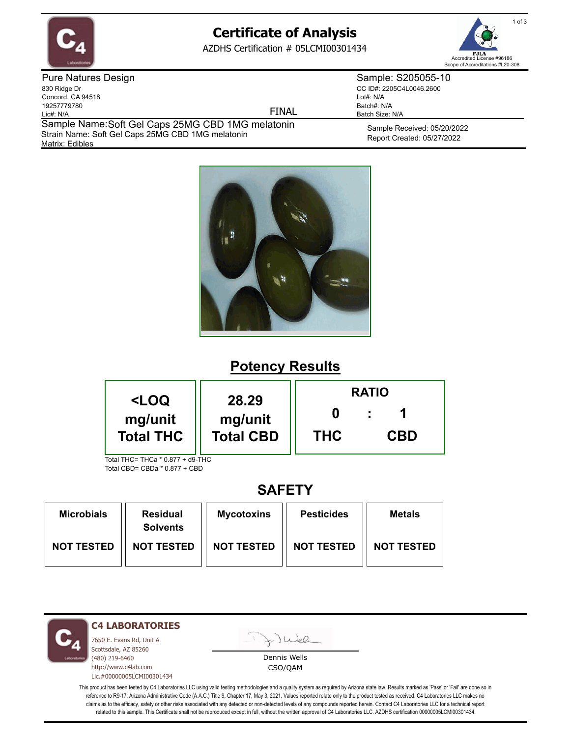

# **Certificate of Analysis**

AZDHS Certification # 05LCMI00301434



Pure Natures Design 830 Ridge Dr Concord, CA 94518 19257779780 Lic#: N/A

FINAL

Matrix: Edibles Sample Name: Soft Gel Caps 25MG CBD 1MG melatonin Strain Name: Soft Gel Caps 25MG CBD 1MG melatonin

Sample Received: 05/20/2022 Report Created: 05/27/2022 Batch Size: N/A

Sample: S205055-10 CC ID#: 2205C4L0046.2600

Lot#: N/A Batch#: N/A



# **Potency Results**

| <loq< th=""><th>28.29</th><th colspan="3"><b>RATIO</b></th></loq<> | 28.29      | <b>RATIO</b> |  |  |
|--------------------------------------------------------------------|------------|--------------|--|--|
| mg/unit<br>mg/unit<br><b>Total THC</b><br><b>Total CBD</b>         | <b>THC</b> | <b>CBD</b>   |  |  |
| Total THC= THCa * 0.877 + d9-THC                                   |            |              |  |  |

Total CBD= CBDa \* 0.877 + CBD

## **SAFETY**

| <b>Microbials</b> | <b>Residual</b><br><b>Solvents</b> | <b>Mycotoxins</b> | <b>Pesticides</b> | <b>Metals</b>     |
|-------------------|------------------------------------|-------------------|-------------------|-------------------|
| <b>NOT TESTED</b> | <b>NOT TESTED</b>                  | <b>NOT TESTED</b> | <b>NOT TESTED</b> | <b>NOT TESTED</b> |

**C4 LABORATORIES**

7650 E. Evans Rd, Unit A Scottsdale, AZ 85260 (480) 219-6460 http://www.c4lab.com Lic.#00000005LCMI00301434

Juea

Dennis Wells CSO/QAM

This product has been tested by C4 Laboratories LLC using valid testing methodologies and a quality system as required by Arizona state law. Results marked as 'Pass' or 'Fail' are done so in reference to R9-17: Arizona Administrative Code (A.A.C.) Title 9, Chapter 17, May 3, 2021. Values reported relate only to the product tested as received. C4 Laboratories LLC makes no claims as to the efficacy, safety or other risks associated with any detected or non-detected levels of any compounds reported herein. Contact C4 Laboratories LLC for a technical report related to this sample. This Certificate shall not be reproduced except in full, without the written approval of C4 Laboratories LLC. AZDHS certification 00000005LCMI00301434.

1 of 3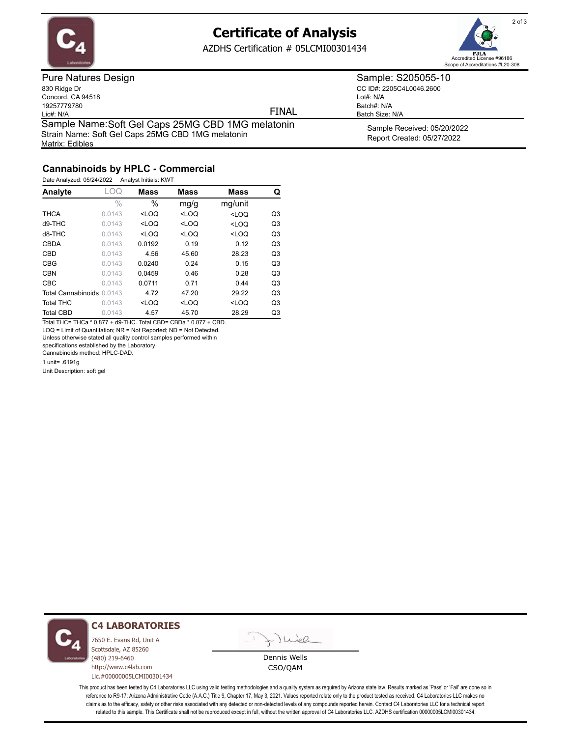

Matrix: Edibles

## **Certificate of Analysis**

AZDHS Certification # 05LCMI00301434



Pure Natures Design 830 Ridge Dr Concord, CA 94518 19257779780 Lic#: N/A Sample Name: Soft Gel Caps 25MG CBD 1MG melatonin Strain Name: Soft Gel Caps 25MG CBD 1MG melatonin

FINAL

CC ID#: 2205C4L0046.2600 Lot#: N/A Batch#: N/A Batch Size: N/A

Sample: S205055-10

Sample Received: 05/20/2022 Report Created: 05/27/2022

### **Cannabinoids by HPLC - Commercial**

Date Analyzed: 05/24/2022 Analyst Initials: KWT

| Analyte                   | LOQ    | <b>Mass</b> | <b>Mass</b> | <b>Mass</b>                    | Q              |
|---------------------------|--------|-------------|-------------|--------------------------------|----------------|
|                           | $\%$   | $\%$        | mg/g        | mg/unit                        |                |
| <b>THCA</b>               | 0.0143 | $<$ LOQ     | $<$ LOQ     | $<$ LOQ                        | Q3             |
| $d9-THC$                  | 0.0143 | $<$ LOQ     | $<$ LOQ     | <loq< td=""><td>Q3</td></loq<> | Q3             |
| d8-THC                    | 0.0143 | $<$ LOQ     | $<$ LOQ     | $<$ LOQ                        | Q <sub>3</sub> |
| <b>CBDA</b>               | 0.0143 | 0.0192      | 0.19        | 0.12                           | Q <sub>3</sub> |
| CBD                       | 0.0143 | 4.56        | 45.60       | 28.23                          | Q <sub>3</sub> |
| <b>CBG</b>                | 0.0143 | 0.0240      | 0.24        | 0.15                           | Q3             |
| <b>CBN</b>                | 0.0143 | 0.0459      | 0.46        | 0.28                           | Q <sub>3</sub> |
| <b>CBC</b>                | 0.0143 | 0.0711      | 0.71        | 0.44                           | Q <sub>3</sub> |
| Total Cannabinoids 0.0143 |        | 4.72        | 47.20       | 29.22                          | Q <sub>3</sub> |
| <b>Total THC</b>          | 0.0143 | $<$ LOQ     | $<$ LOQ     | $<$ LOQ                        | Q3             |
| <b>Total CBD</b>          | 0.0143 | 4.57        | 45.70       | 28.29                          | Q3             |

Total THC= THCa \* 0.877 + d9-THC. Total CBD= CBDa \* 0.877 + CBD. LOQ = Limit of Quantitation; NR = Not Reported; ND = Not Detected.

Unless otherwise stated all quality control samples performed within

specifications established by the Laboratory.

Cannabinoids method: HPLC-DAD.

1 unit= .6191g

Unit Description: soft gel



#### **C4 LABORATORIES**

7650 E. Evans Rd, Unit A Scottsdale, AZ 85260 (480) 219-6460 http://www.c4lab.com Lic.#00000005LCMI00301434



Dennis Wells CSO/QAM

This product has been tested by C4 Laboratories LLC using valid testing methodologies and a quality system as required by Arizona state law. Results marked as 'Pass' or 'Fail' are done so in reference to R9-17: Arizona Administrative Code (A.A.C.) Title 9, Chapter 17, May 3, 2021. Values reported relate only to the product tested as received. C4 Laboratories LLC makes no claims as to the efficacy, safety or other risks associated with any detected or non-detected levels of any compounds reported herein. Contact C4 Laboratories LLC for a technical report related to this sample. This Certificate shall not be reproduced except in full, without the written approval of C4 Laboratories LLC. AZDHS certification 00000005LCMI00301434.